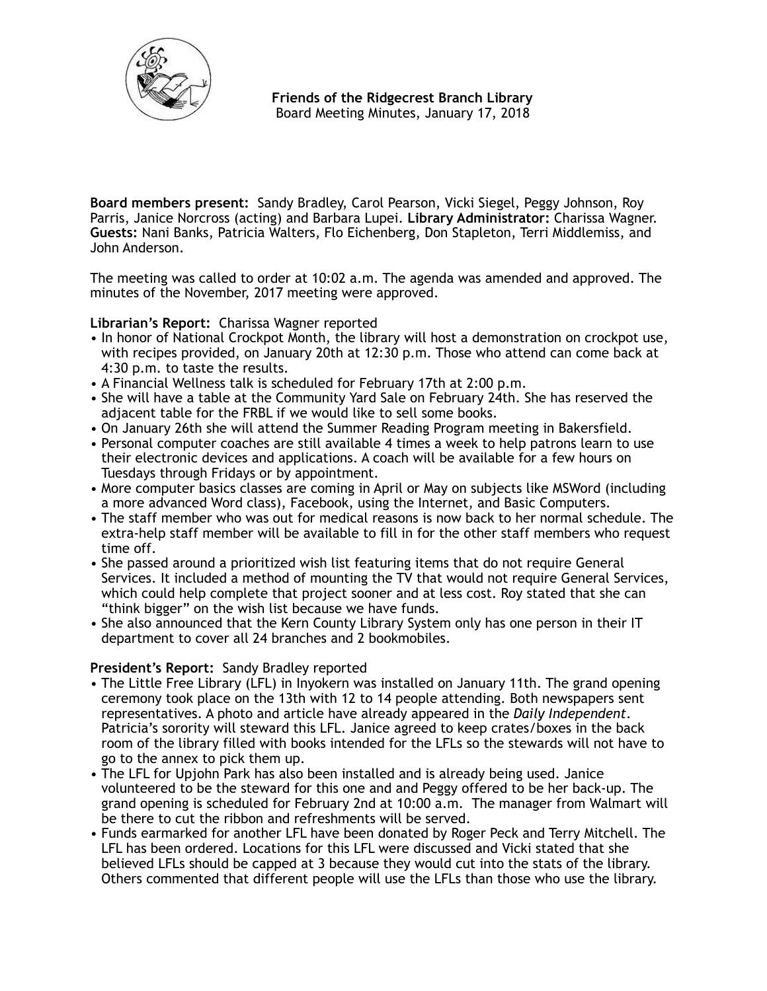

**Board members present:** Sandy Bradley, Carol Pearson, Vicki Siegel, Peggy Johnson, Roy Parris, Janice Norcross (acting) and Barbara Lupei. **Library Administrator:** Charissa Wagner. **Guests:** Nani Banks, Patricia Walters, Flo Eichenberg, Don Stapleton, Terri Middlemiss, and John Anderson.

The meeting was called to order at 10:02 a.m. The agenda was amended and approved. The minutes of the November, 2017 meeting were approved.

**Librarian's Report:** Charissa Wagner reported

- In honor of National Crockpot Month, the library will host a demonstration on crockpot use, with recipes provided, on January 20th at 12:30 p.m. Those who attend can come back at 4:30 p.m. to taste the results.
- A Financial Wellness talk is scheduled for February 17th at 2:00 p.m.
- She will have a table at the Community Yard Sale on February 24th. She has reserved the adjacent table for the FRBL if we would like to sell some books.
- On January 26th she will attend the Summer Reading Program meeting in Bakersfield.
- Personal computer coaches are still available 4 times a week to help patrons learn to use their electronic devices and applications. A coach will be available for a few hours on Tuesdays through Fridays or by appointment.
- More computer basics classes are coming in April or May on subjects like MSWord (including a more advanced Word class), Facebook, using the Internet, and Basic Computers.
- The staff member who was out for medical reasons is now back to her normal schedule. The extra-help staff member will be available to fill in for the other staff members who request time off.
- She passed around a prioritized wish list featuring items that do not require General Services. It included a method of mounting the TV that would not require General Services, which could help complete that project sooner and at less cost. Roy stated that she can "think bigger" on the wish list because we have funds.
- She also announced that the Kern County Library System only has one person in their IT department to cover all 24 branches and 2 bookmobiles.

# **President's Report:** Sandy Bradley reported

- The Little Free Library (LFL) in Inyokern was installed on January 11th. The grand opening ceremony took place on the 13th with 12 to 14 people attending. Both newspapers sent representatives. A photo and article have already appeared in the *Daily Independent*. Patricia's sorority will steward this LFL. Janice agreed to keep crates/boxes in the back room of the library filled with books intended for the LFLs so the stewards will not have to go to the annex to pick them up.
- The LFL for Upjohn Park has also been installed and is already being used. Janice volunteered to be the steward for this one and and Peggy offered to be her back-up. The grand opening is scheduled for February 2nd at 10:00 a.m. The manager from Walmart will be there to cut the ribbon and refreshments will be served.
- Funds earmarked for another LFL have been donated by Roger Peck and Terry Mitchell. The LFL has been ordered. Locations for this LFL were discussed and Vicki stated that she believed LFLs should be capped at 3 because they would cut into the stats of the library. Others commented that different people will use the LFLs than those who use the library.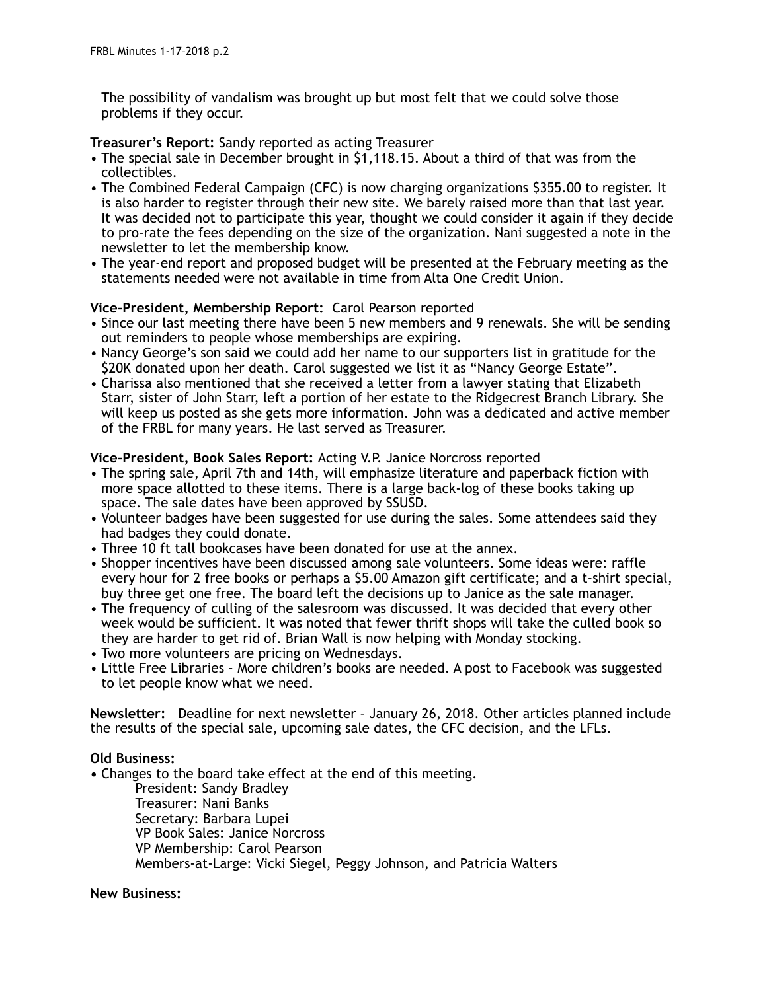The possibility of vandalism was brought up but most felt that we could solve those problems if they occur.

## **Treasurer's Report:** Sandy reported as acting Treasurer

- The special sale in December brought in \$1,118.15. About a third of that was from the collectibles.
- The Combined Federal Campaign (CFC) is now charging organizations \$355.00 to register. It is also harder to register through their new site. We barely raised more than that last year. It was decided not to participate this year, thought we could consider it again if they decide to pro-rate the fees depending on the size of the organization. Nani suggested a note in the newsletter to let the membership know.
- The year-end report and proposed budget will be presented at the February meeting as the statements needed were not available in time from Alta One Credit Union.

## **Vice-President, Membership Report:** Carol Pearson reported

- Since our last meeting there have been 5 new members and 9 renewals. She will be sending out reminders to people whose memberships are expiring.
- Nancy George's son said we could add her name to our supporters list in gratitude for the \$20K donated upon her death. Carol suggested we list it as "Nancy George Estate".
- Charissa also mentioned that she received a letter from a lawyer stating that Elizabeth Starr, sister of John Starr, left a portion of her estate to the Ridgecrest Branch Library. She will keep us posted as she gets more information. John was a dedicated and active member of the FRBL for many years. He last served as Treasurer.

# **Vice-President, Book Sales Report:** Acting V.P. Janice Norcross reported

- The spring sale, April 7th and 14th, will emphasize literature and paperback fiction with more space allotted to these items. There is a large back-log of these books taking up space. The sale dates have been approved by SSUSD.
- Volunteer badges have been suggested for use during the sales. Some attendees said they had badges they could donate.
- Three 10 ft tall bookcases have been donated for use at the annex.
- Shopper incentives have been discussed among sale volunteers. Some ideas were: raffle every hour for 2 free books or perhaps a \$5.00 Amazon gift certificate; and a t-shirt special, buy three get one free. The board left the decisions up to Janice as the sale manager.
- The frequency of culling of the salesroom was discussed. It was decided that every other week would be sufficient. It was noted that fewer thrift shops will take the culled book so they are harder to get rid of. Brian Wall is now helping with Monday stocking.
- Two more volunteers are pricing on Wednesdays.
- Little Free Libraries More children's books are needed. A post to Facebook was suggested to let people know what we need.

**Newsletter:** Deadline for next newsletter – January 26, 2018. Other articles planned include the results of the special sale, upcoming sale dates, the CFC decision, and the LFLs.

### **Old Business:**

**•** Changes to the board take effect at the end of this meeting.

 President: Sandy Bradley Treasurer: Nani Banks Secretary: Barbara Lupei VP Book Sales: Janice Norcross VP Membership: Carol Pearson Members-at-Large: Vicki Siegel, Peggy Johnson, and Patricia Walters

### **New Business:**